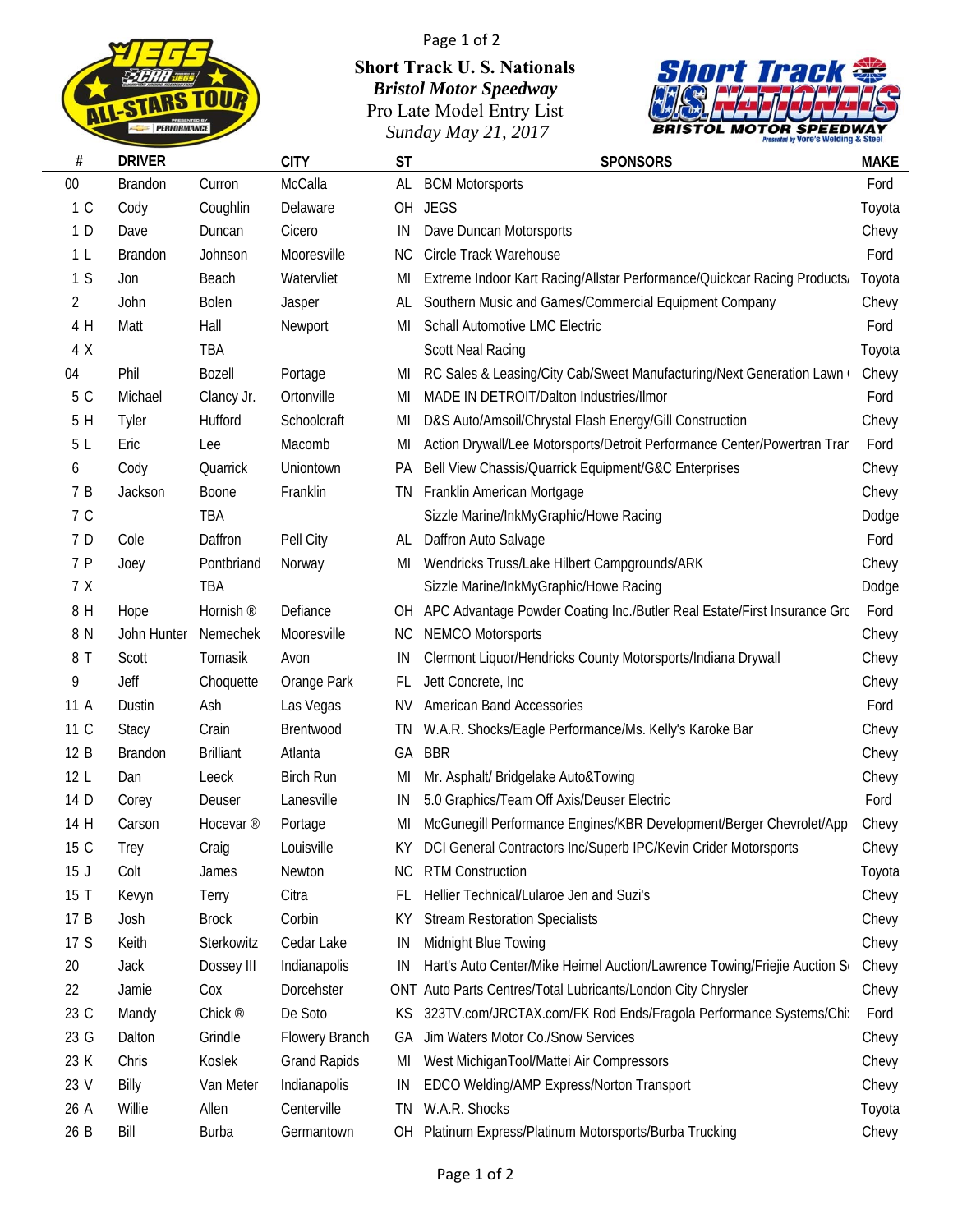

 $\overline{\phantom{a}}$ 

## Page 1 of 2

## **Short Track U. S. Nationals** *Bristol Motor Speedway* Pro Late Model Entry List *Sunday May 21, 2017*



| #               | <b>DRIVER</b>  |                      | <b>CITY</b>         | <b>ST</b> | <b>SPONSORS</b>                                                          | <b>MAKE</b> |
|-----------------|----------------|----------------------|---------------------|-----------|--------------------------------------------------------------------------|-------------|
| $00\,$          | Brandon        | Curron               | McCalla             | AL        | <b>BCM Motorsports</b>                                                   | Ford        |
| 1 C             | Cody           | Coughlin             | Delaware            | OH        | <b>JEGS</b>                                                              | Toyota      |
| 1 D             | Dave           | Duncan               | Cicero              | IN        | Dave Duncan Motorsports                                                  | Chevy       |
| 1 <sub>L</sub>  | <b>Brandon</b> | Johnson              | Mooresville         | NС        | Circle Track Warehouse                                                   | Ford        |
| 1S              | Jon            | Beach                | Watervliet          | MI        | Extreme Indoor Kart Racing/Allstar Performance/Quickcar Racing Products/ | Toyota      |
| $\overline{2}$  | John           | Bolen                | Jasper              | AL        | Southern Music and Games/Commercial Equipment Company                    | Chevy       |
| 4 H             | Matt           | Hall                 | Newport             | MI        | <b>Schall Automotive LMC Electric</b>                                    | Ford        |
| 4 X             |                | TBA                  |                     |           | <b>Scott Neal Racing</b>                                                 | Toyota      |
| 04              | Phil           | Bozell               | Portage             | MI        | RC Sales & Leasing/City Cab/Sweet Manufacturing/Next Generation Lawn (   | Chevy       |
| 5 C             | Michael        | Clancy Jr.           | Ortonville          | MI        | MADE IN DETROIT/Dalton Industries/Ilmor                                  | Ford        |
| 5 H             | Tyler          | Hufford              | Schoolcraft         | MI        | D&S Auto/Amsoil/Chrystal Flash Energy/Gill Construction                  | Chevy       |
| 5L              | Eric           | Lee                  | Macomb              | MI        | Action Drywall/Lee Motorsports/Detroit Performance Center/Powertran Tran | Ford        |
| 6               | Cody           | Quarrick             | Uniontown           | <b>PA</b> | Bell View Chassis/Quarrick Equipment/G&C Enterprises                     | Chevy       |
| 7 B             | Jackson        | Boone                | Franklin            | TN        | Franklin American Mortgage                                               | Chevy       |
| 7 C             |                | TBA                  |                     |           | Sizzle Marine/InkMyGraphic/Howe Racing                                   | Dodge       |
| 7 D             | Cole           | Daffron              | Pell City           | AL        | Daffron Auto Salvage                                                     | Ford        |
| 7 P             | Joey           | Pontbriand           | Norway              | MI        | Wendricks Truss/Lake Hilbert Campgrounds/ARK                             | Chevy       |
| 7 X             |                | TBA                  |                     |           | Sizzle Marine/InkMyGraphic/Howe Racing                                   | Dodge       |
| 8 H             | Hope           | Hornish <sup>®</sup> | Defiance            | OH        | APC Advantage Powder Coating Inc./Butler Real Estate/First Insurance Grc | Ford        |
| 8 N             | John Hunter    | Nemechek             | Mooresville         | NC.       | <b>NEMCO Motorsports</b>                                                 | Chevy       |
| 8 T             | Scott          | Tomasik              | Avon                | IN        | Clermont Liquor/Hendricks County Motorsports/Indiana Drywall             | Chevy       |
| 9               | Jeff           | Choquette            | Orange Park         | FL.       | Jett Concrete, Inc                                                       | Chevy       |
| 11 A            | Dustin         | Ash                  | Las Vegas           | ΝV        | <b>American Band Accessories</b>                                         | Ford        |
| 11 C            | Stacy          | Crain                | Brentwood           | TN        | W.A.R. Shocks/Eagle Performance/Ms. Kelly's Karoke Bar                   | Chevy       |
| 12 B            | <b>Brandon</b> | <b>Brilliant</b>     | Atlanta             | GA        | <b>BBR</b>                                                               | Chevy       |
| 12 <sub>L</sub> | Dan            | Leeck                | <b>Birch Run</b>    | MI        | Mr. Asphalt/ Bridgelake Auto&Towing                                      | Chevy       |
| 14 D            | Corey          | Deuser               | Lanesville          | IN        | 5.0 Graphics/Team Off Axis/Deuser Electric                               | Ford        |
| 14 H            | Carson         | Hocevar <sup>®</sup> | Portage             | MI        | McGunegill Performance Engines/KBR Development/Berger Chevrolet/Appl     | Chevy       |
| 15 C            | Trey           | Craig                | Louisville          |           | DCI General Contractors Inc/Superb IPC/Kevin Crider Motorsports          | Chevy       |
| 15J             | Colt           | James                | Newton              | NC.       | <b>RTM Construction</b>                                                  | Toyota      |
| 15 T            | Kevyn          | Terry                | Citra               | FL.       | Hellier Technical/Lularoe Jen and Suzi's                                 | Chevy       |
| 17 B            | Josh           | <b>Brock</b>         | Corbin              | ΚY        | <b>Stream Restoration Specialists</b>                                    | Chevy       |
| 17 S            | Keith          | Sterkowitz           | Cedar Lake          | IN        | Midnight Blue Towing                                                     | Chevy       |
| 20              | Jack           | Dossey III           | Indianapolis        | IN        | Hart's Auto Center/Mike Heimel Auction/Lawrence Towing/Friejie Auction S | Chevy       |
| 22              | Jamie          | Cox                  | Dorcehster          |           | ONT Auto Parts Centres/Total Lubricants/London City Chrysler             | Chevy       |
| 23 C            | Mandy          | Chick <sup>®</sup>   | De Soto             | KS        | 323TV.com/JRCTAX.com/FK Rod Ends/Fragola Performance Systems/Chi:        | Ford        |
| 23 G            | Dalton         | Grindle              | Flowery Branch      | GA        | Jim Waters Motor Co./Snow Services                                       | Chevy       |
| 23 K            | Chris          | Koslek               | <b>Grand Rapids</b> | MI        | West MichiganTool/Mattei Air Compressors                                 | Chevy       |
| 23 V            | Billy          | Van Meter            | Indianapolis        | IN        | EDCO Welding/AMP Express/Norton Transport                                | Chevy       |
| 26 A            | Willie         | Allen                | Centerville         | ΤN        | W.A.R. Shocks                                                            | Toyota      |
| 26 B            | Bill           | <b>Burba</b>         | Germantown          | OH        | Platinum Express/Platinum Motorsports/Burba Trucking                     | Chevy       |